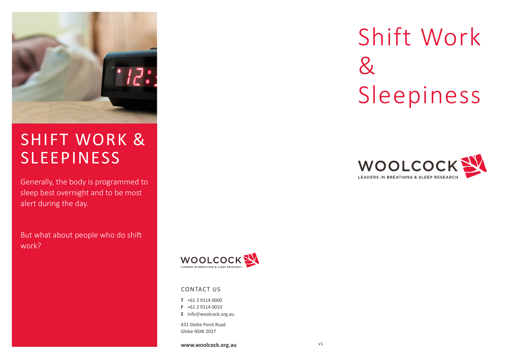

## SHIFT WORK & SLEEPINESS

Generally, the body is programmed to sleep best overnight and to be most alert during the day.

But what about people who do shift work?



#### CONTACT US

**T** +61 2 9114 0000

- **F** +61 2 9114 0010
- **E** info@woolcock.org.au

431 Glebe Point Road Glebe NSW 2037

**www.woolcock.org.au**

# Shift Work  $\mathcal{R}_{\mathcal{L}}$ Sleepiness